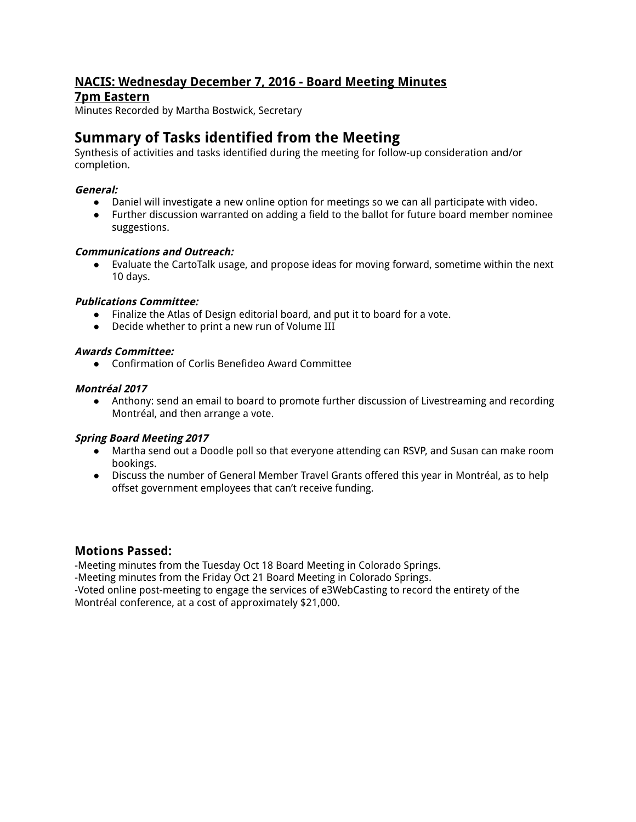# **NACIS: Wednesday December 7, 2016 - Board Meeting Minutes**

## **7pm Eastern**

Minutes Recorded by Martha Bostwick, Secretary

# **Summary of Tasks identified from the Meeting**

Synthesis of activities and tasks identified during the meeting for follow-up consideration and/or completion.

## **General:**

- Daniel will investigate a new online option for meetings so we can all participate with video.
- Further discussion warranted on adding a field to the ballot for future board member nominee suggestions.

## **Communications and Outreach:**

● Evaluate the CartoTalk usage, and propose ideas for moving forward, sometime within the next 10 days.

## **Publications Committee:**

- Finalize the Atlas of Design editorial board, and put it to board for a vote.
- Decide whether to print a new run of Volume III

## **Awards Committee:**

● Confirmation of Corlis Benefideo Award Committee

## **Montréal 2017**

● Anthony: send an email to board to promote further discussion of Livestreaming and recording Montréal, and then arrange a vote.

#### **Spring Board Meeting 2017**

- Martha send out a Doodle poll so that everyone attending can RSVP, and Susan can make room bookings.
- Discuss the number of General Member Travel Grants offered this year in Montréal, as to help offset government employees that can't receive funding.

## **Motions Passed:**

-Meeting minutes from the Tuesday Oct 18 Board Meeting in Colorado Springs.

-Meeting minutes from the Friday Oct 21 Board Meeting in Colorado Springs.

-Voted online post-meeting to engage the services of e3WebCasting to record the entirety of the Montréal conference, at a cost of approximately \$21,000.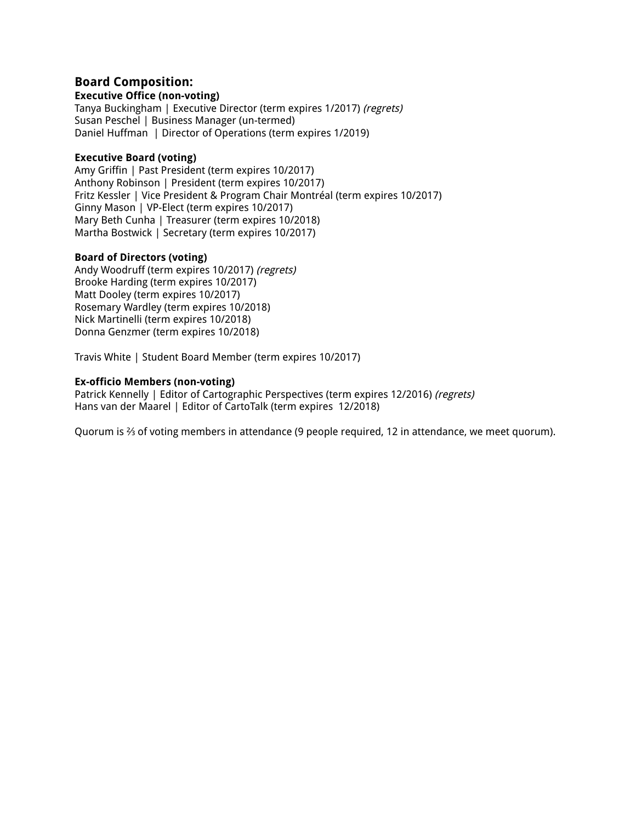## **Board Composition:**

#### **Executive Office (non-voting)**

Tanya Buckingham | Executive Director (term expires 1/2017) (regrets) Susan Peschel | Business Manager (un-termed) Daniel Huffman | Director of Operations (term expires 1/2019)

#### **Executive Board (voting)**

Amy Griffin | Past President (term expires 10/2017) Anthony Robinson | President (term expires 10/2017) Fritz Kessler | Vice President & Program Chair Montréal (term expires 10/2017) Ginny Mason | VP-Elect (term expires 10/2017) Mary Beth Cunha | Treasurer (term expires 10/2018) Martha Bostwick | Secretary (term expires 10/2017)

#### **Board of Directors (voting)**

Andy Woodruff (term expires 10/2017) (regrets) Brooke Harding (term expires 10/2017) Matt Dooley (term expires 10/2017) Rosemary Wardley (term expires 10/2018) Nick Martinelli (term expires 10/2018) Donna Genzmer (term expires 10/2018)

Travis White | Student Board Member (term expires 10/2017)

#### **Ex-officio Members (non-voting)**

Patrick Kennelly | Editor of Cartographic Perspectives (term expires 12/2016) (regrets) Hans van der Maarel | Editor of CartoTalk (term expires 12/2018)

Quorum is ⅔ of voting members in attendance (9 people required, 12 in attendance, we meet quorum).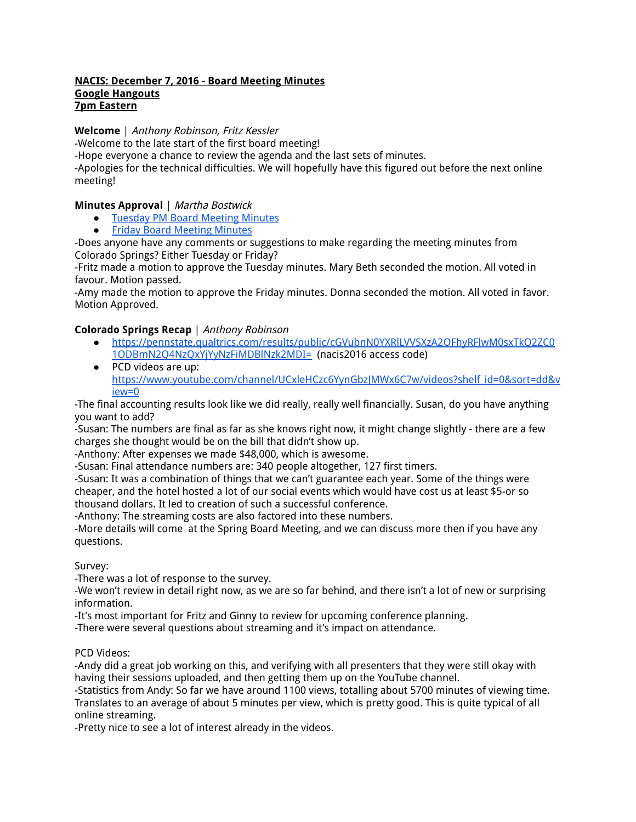#### **NACIS: December 7, 2016 - Board Meeting Minutes Google Hangouts 7pm Eastern**

**Welcome** | Anthony Robinson, Fritz Kessler

-Welcome to the late start of the first board meeting!

-Hope everyone a chance to review the agenda and the last sets of minutes.

-Apologies for the technical difficulties. We will hopefully have this figured out before the next online meeting!

## **Minutes Approval** | Martha Bostwick

● Tuesday PM Board Meeting Minutes

● Friday Board Meeting Minutes

-Does anyone have any comments or suggestions to make regarding the meeting minutes from Colorado Springs? Either Tuesday or Friday?

-Fritz made a motion to approve the Tuesday minutes. Mary Beth seconded the motion. All voted in favour. Motion passed.

-Amy made the motion to approve the Friday minutes. Donna seconded the motion. All voted in favor. Motion Approved.

## **Colorado Springs Recap** | Anthony Robinson

- https://pennstate.qualtrics.com/results/public/cGVubnN0YXRlLVVSXzA2OFhyRFlwM0sxTkQ2ZC0 1ODBmN2Q4NzQxYjYyNzFiMDBlNzk2MDI= (nacis2016 access code)
- PCD videos are up: https://www.youtube.com/channel/UCxleHCzc6YynGbzJMWx6C7w/videos?shelf\_id=0&sort=dd&v iew=0

-The final accounting results look like we did really, really well financially. Susan, do you have anything you want to add?

-Susan: The numbers are final as far as she knows right now, it might change slightly - there are a few charges she thought would be on the bill that didn't show up.

-Anthony: After expenses we made \$48,000, which is awesome.

-Susan: Final attendance numbers are: 340 people altogether, 127 first timers.

-Susan: It was a combination of things that we can't guarantee each year. Some of the things were cheaper, and the hotel hosted a lot of our social events which would have cost us at least \$5-or so thousand dollars. It led to creation of such a successful conference.

-Anthony: The streaming costs are also factored into these numbers.

-More details will come at the Spring Board Meeting, and we can discuss more then if you have any questions.

Survey:

-There was a lot of response to the survey.

-We won't review in detail right now, as we are so far behind, and there isn't a lot of new or surprising information.

-It's most important for Fritz and Ginny to review for upcoming conference planning.

-There were several questions about streaming and it's impact on attendance.

PCD Videos:

-Andy did a great job working on this, and verifying with all presenters that they were still okay with having their sessions uploaded, and then getting them up on the YouTube channel.

-Statistics from Andy: So far we have around 1100 views, totalling about 5700 minutes of viewing time. Translates to an average of about 5 minutes per view, which is pretty good. This is quite typical of all online streaming.

-Pretty nice to see a lot of interest already in the videos.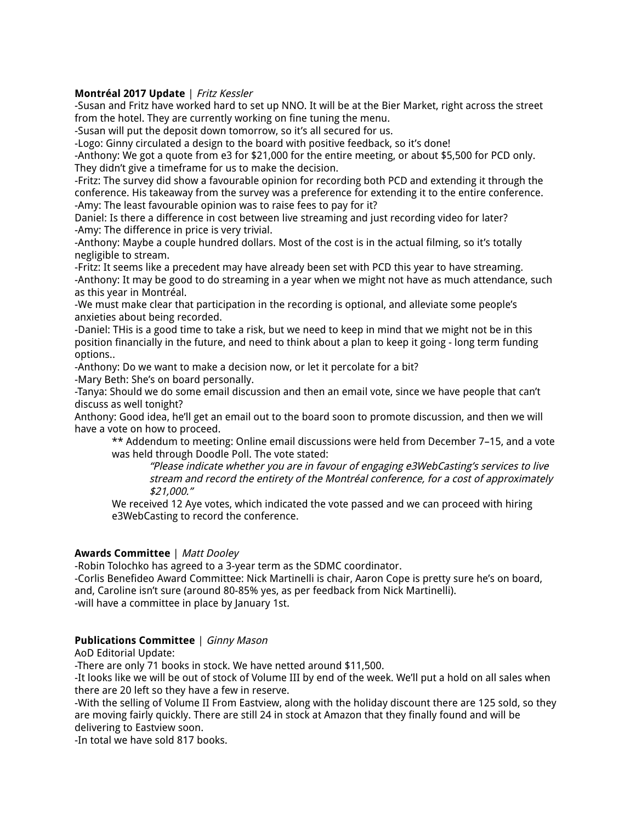#### **Montréal 2017 Update** | Fritz Kessler

-Susan and Fritz have worked hard to set up NNO. It will be at the Bier Market, right across the street from the hotel. They are currently working on fine tuning the menu.

-Susan will put the deposit down tomorrow, so it's all secured for us.

-Logo: Ginny circulated a design to the board with positive feedback, so it's done!

-Anthony: We got a quote from e3 for \$21,000 for the entire meeting, or about \$5,500 for PCD only. They didn't give a timeframe for us to make the decision.

-Fritz: The survey did show a favourable opinion for recording both PCD and extending it through the conference. His takeaway from the survey was a preference for extending it to the entire conference. -Amy: The least favourable opinion was to raise fees to pay for it?

Daniel: Is there a difference in cost between live streaming and just recording video for later? -Amy: The difference in price is very trivial.

-Anthony: Maybe a couple hundred dollars. Most of the cost is in the actual filming, so it's totally negligible to stream.

-Fritz: It seems like a precedent may have already been set with PCD this year to have streaming. -Anthony: It may be good to do streaming in a year when we might not have as much attendance, such as this year in Montréal.

-We must make clear that participation in the recording is optional, and alleviate some people's anxieties about being recorded.

-Daniel: THis is a good time to take a risk, but we need to keep in mind that we might not be in this position financially in the future, and need to think about a plan to keep it going - long term funding options..

-Anthony: Do we want to make a decision now, or let it percolate for a bit?

-Mary Beth: She's on board personally.

-Tanya: Should we do some email discussion and then an email vote, since we have people that can't discuss as well tonight?

Anthony: Good idea, he'll get an email out to the board soon to promote discussion, and then we will have a vote on how to proceed.

\*\* Addendum to meeting: Online email discussions were held from December 7–15, and a vote was held through Doodle Poll. The vote stated:

"Please indicate whether you are in favour of engaging e3WebCasting's services to live stream and record the entirety of the Montréal conference, for <sup>a</sup> cost of approximately \$21,000."

We received 12 Aye votes, which indicated the vote passed and we can proceed with hiring e3WebCasting to record the conference.

#### **Awards Committee** | Matt Dooley

-Robin Tolochko has agreed to a 3-year term as the SDMC coordinator.

-Corlis Benefideo Award Committee: Nick Martinelli is chair, Aaron Cope is pretty sure he's on board, and, Caroline isn't sure (around 80-85% yes, as per feedback from Nick Martinelli). -will have a committee in place by January 1st.

#### **Publications Committee** | Ginny Mason

AoD Editorial Update:

-There are only 71 books in stock. We have netted around \$11,500.

-It looks like we will be out of stock of Volume III by end of the week. We'll put a hold on all sales when there are 20 left so they have a few in reserve.

-With the selling of Volume II From Eastview, along with the holiday discount there are 125 sold, so they are moving fairly quickly. There are still 24 in stock at Amazon that they finally found and will be delivering to Eastview soon.

-In total we have sold 817 books.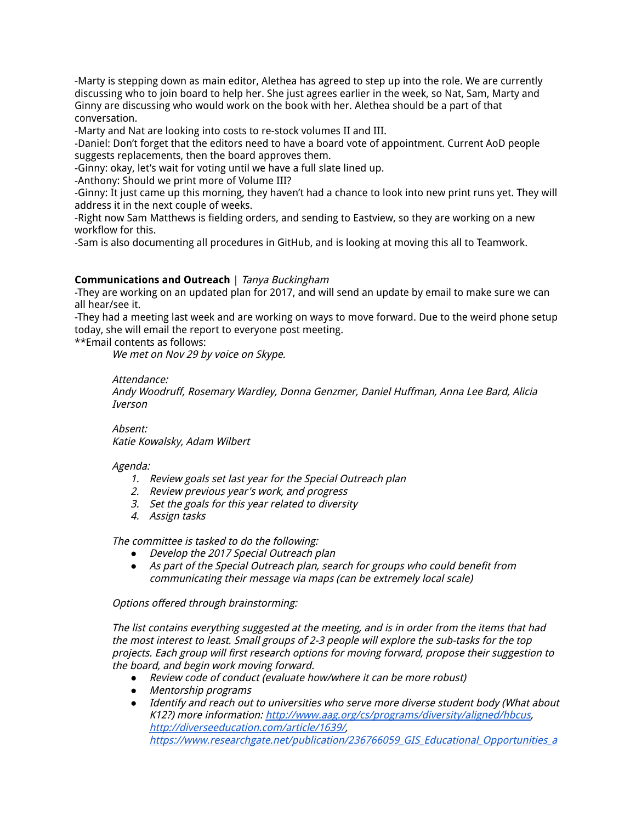-Marty is stepping down as main editor, Alethea has agreed to step up into the role. We are currently discussing who to join board to help her. She just agrees earlier in the week, so Nat, Sam, Marty and Ginny are discussing who would work on the book with her. Alethea should be a part of that conversation.

-Marty and Nat are looking into costs to re-stock volumes II and III.

-Daniel: Don't forget that the editors need to have a board vote of appointment. Current AoD people suggests replacements, then the board approves them.

-Ginny: okay, let's wait for voting until we have a full slate lined up.

-Anthony: Should we print more of Volume III?

-Ginny: It just came up this morning, they haven't had a chance to look into new print runs yet. They will address it in the next couple of weeks.

-Right now Sam Matthews is fielding orders, and sending to Eastview, so they are working on a new workflow for this.

-Sam is also documenting all procedures in GitHub, and is looking at moving this all to Teamwork.

#### **Communications and Outreach** | Tanya Buckingham

-They are working on an updated plan for 2017, and will send an update by email to make sure we can all hear/see it.

-They had a meeting last week and are working on ways to move forward. Due to the weird phone setup today, she will email the report to everyone post meeting.

\*\*Email contents as follows:

We met on Nov 29 by voice on Skype.

Attendance:

Andy Woodruff, Rosemary Wardley, Donna Genzmer, Daniel Huffman, Anna Lee Bard, Alicia Iverson

Absent: Katie Kowalsky, Adam Wilbert

#### Agenda:

- 1. Review goals set last year for the Special Outreach plan
- 2. Review previous year's work, and progress
- 3. Set the goals for this year related to diversity
- 4. Assign tasks

The committee is tasked to do the following:

- *●* Develop the 2017 Special Outreach plan
- *●* As part of the Special Outreach plan, search for groups who could benefit from communicating their message via maps (can be extremely local scale)

Options offered through brainstorming:

The list contains everything suggested at the meeting, and is in order from the items that had the most interest to least. Small groups of 2-3 people will explore the sub-tasks for the top projects. Each group will first research options for moving forward, propose their suggestion to the board, and begin work moving forward.

- *●* Review code of conduct (evaluate how/where it can be more robust)
- *●* Mentorship programs
- *●* Identify and reach out to universities who serve more diverse student body (What about K12?) more information: http://www.aag.org/cs/programs/diversity/aligned/hbcus, http://diverseeducation.com/article/1639/, https://www.researchgate.net/publication/236766059\_GIS\_Educational\_Opportunities\_a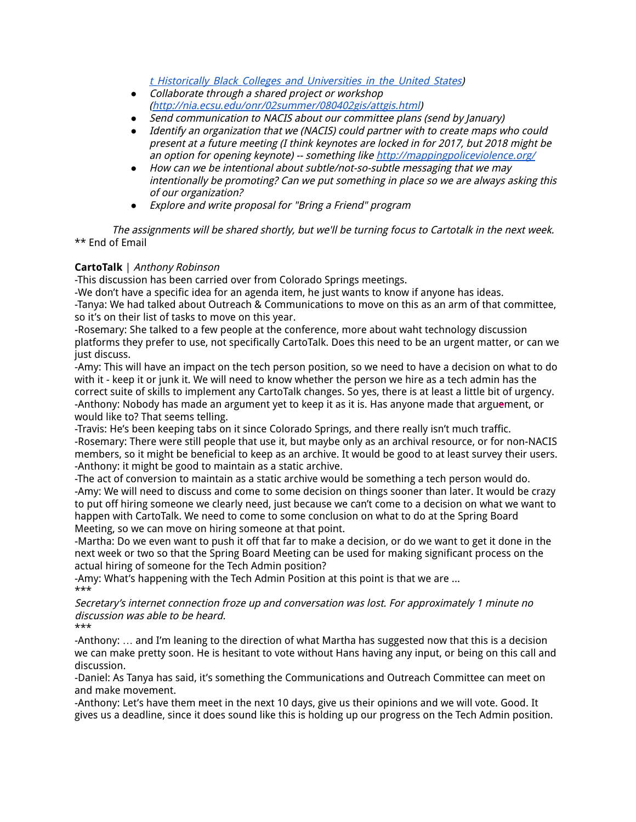t Historically Black Colleges and Universities in the United States)

- *●* Collaborate through <sup>a</sup> shared project or workshop (http://nia.ecsu.edu/onr/02summer/080402gis/attgis.html)
- *●* Send communication to NACIS about our committee plans (send by January)
- *●* Identify an organization that we (NACIS) could partner with to create maps who could present at <sup>a</sup> future meeting (I think keynotes are locked in for 2017, but 2018 might be an option for opening keynote) -- something like http://mappingpoliceviolence.org/
- *●* How can we be intentional about subtle/not-so-subtle messaging that we may intentionally be promoting? Can we put something in place so we are always asking this of our organization?
- *●* Explore and write proposal for "Bring <sup>a</sup> Friend" program

The assignments will be shared shortly, but we'll be turning focus to Cartotalk in the next week. \*\* End of Email

## **CartoTalk** | Anthony Robinson

-This discussion has been carried over from Colorado Springs meetings.

-We don't have a specific idea for an agenda item, he just wants to know if anyone has ideas. -Tanya: We had talked about Outreach & Communications to move on this as an arm of that committee, so it's on their list of tasks to move on this year.

-Rosemary: She talked to a few people at the conference, more about waht technology discussion platforms they prefer to use, not specifically CartoTalk. Does this need to be an urgent matter, or can we just discuss.

-Amy: This will have an impact on the tech person position, so we need to have a decision on what to do with it - keep it or junk it. We will need to know whether the person we hire as a tech admin has the correct suite of skills to implement any CartoTalk changes. So yes, there is at least a little bit of urgency. -Anthony: Nobody has made an argument yet to keep it as it is. Has anyone made that arguement, or would like to? That seems telling.

-Travis: He's been keeping tabs on it since Colorado Springs, and there really isn't much traffic. -Rosemary: There were still people that use it, but maybe only as an archival resource, or for non-NACIS members, so it might be beneficial to keep as an archive. It would be good to at least survey their users. -Anthony: it might be good to maintain as a static archive.

-The act of conversion to maintain as a static archive would be something a tech person would do. -Amy: We will need to discuss and come to some decision on things sooner than later. It would be crazy to put off hiring someone we clearly need, just because we can't come to a decision on what we want to happen with CartoTalk. We need to come to some conclusion on what to do at the Spring Board Meeting, so we can move on hiring someone at that point.

-Martha: Do we even want to push it off that far to make a decision, or do we want to get it done in the next week or two so that the Spring Board Meeting can be used for making significant process on the actual hiring of someone for the Tech Admin position?

-Amy: What's happening with the Tech Admin Position at this point is that we are ... \*\*\*

Secretary's internet connection froze up and conversation was lost. For approximately 1 minute no discussion was able to be heard.

\*\*\*

-Anthony: … and I'm leaning to the direction of what Martha has suggested now that this is a decision we can make pretty soon. He is hesitant to vote without Hans having any input, or being on this call and discussion.

-Daniel: As Tanya has said, it's something the Communications and Outreach Committee can meet on and make movement.

-Anthony: Let's have them meet in the next 10 days, give us their opinions and we will vote. Good. It gives us a deadline, since it does sound like this is holding up our progress on the Tech Admin position.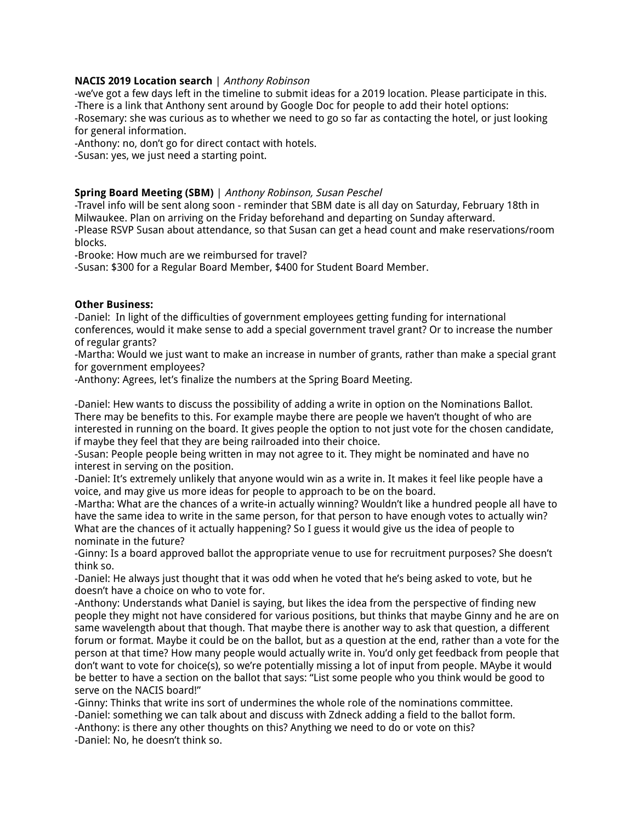#### **NACIS 2019 Location search** | Anthony Robinson

-we've got a few days left in the timeline to submit ideas for a 2019 location. Please participate in this. -There is a link that Anthony sent around by Google Doc for people to add their hotel options: -Rosemary: she was curious as to whether we need to go so far as contacting the hotel, or just looking for general information.

-Anthony: no, don't go for direct contact with hotels.

-Susan: yes, we just need a starting point.

#### **Spring Board Meeting (SBM)** | Anthony Robinson, Susan Peschel

-Travel info will be sent along soon - reminder that SBM date is all day on Saturday, February 18th in Milwaukee. Plan on arriving on the Friday beforehand and departing on Sunday afterward. -Please RSVP Susan about attendance, so that Susan can get a head count and make reservations/room blocks.

-Brooke: How much are we reimbursed for travel?

-Susan: \$300 for a Regular Board Member, \$400 for Student Board Member.

#### **Other Business:**

-Daniel: In light of the difficulties of government employees getting funding for international conferences, would it make sense to add a special government travel grant? Or to increase the number of regular grants?

-Martha: Would we just want to make an increase in number of grants, rather than make a special grant for government employees?

-Anthony: Agrees, let's finalize the numbers at the Spring Board Meeting.

-Daniel: Hew wants to discuss the possibility of adding a write in option on the Nominations Ballot. There may be benefits to this. For example maybe there are people we haven't thought of who are interested in running on the board. It gives people the option to not just vote for the chosen candidate, if maybe they feel that they are being railroaded into their choice.

-Susan: People people being written in may not agree to it. They might be nominated and have no interest in serving on the position.

-Daniel: It's extremely unlikely that anyone would win as a write in. It makes it feel like people have a voice, and may give us more ideas for people to approach to be on the board.

-Martha: What are the chances of a write-in actually winning? Wouldn't like a hundred people all have to have the same idea to write in the same person, for that person to have enough votes to actually win? What are the chances of it actually happening? So I guess it would give us the idea of people to nominate in the future?

-Ginny: Is a board approved ballot the appropriate venue to use for recruitment purposes? She doesn't think so.

-Daniel: He always just thought that it was odd when he voted that he's being asked to vote, but he doesn't have a choice on who to vote for.

-Anthony: Understands what Daniel is saying, but likes the idea from the perspective of finding new people they might not have considered for various positions, but thinks that maybe Ginny and he are on same wavelength about that though. That maybe there is another way to ask that question, a different forum or format. Maybe it could be on the ballot, but as a question at the end, rather than a vote for the person at that time? How many people would actually write in. You'd only get feedback from people that don't want to vote for choice(s), so we're potentially missing a lot of input from people. MAybe it would be better to have a section on the ballot that says: "List some people who you think would be good to serve on the NACIS board!"

-Ginny: Thinks that write ins sort of undermines the whole role of the nominations committee. -Daniel: something we can talk about and discuss with Zdneck adding a field to the ballot form.

-Anthony: is there any other thoughts on this? Anything we need to do or vote on this?

-Daniel: No, he doesn't think so.